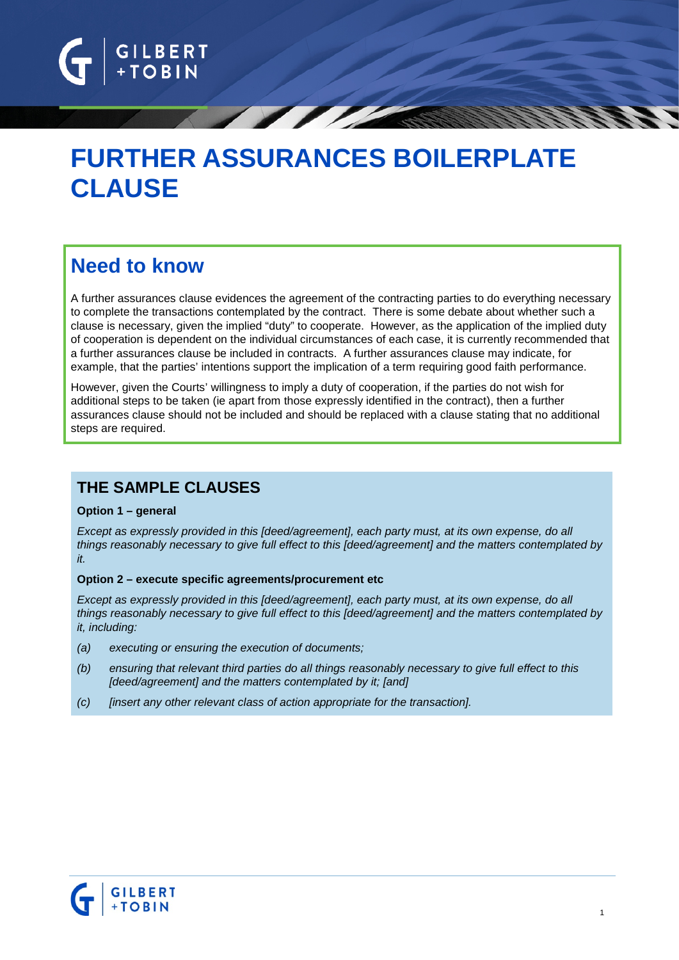

# **FURTHER ASSURANCES BOILERPLATE CLAUSE**

## **Need to know**

A further assurances clause evidences the agreement of the contracting parties to do everything necessary to complete the transactions contemplated by the contract. There is some debate about whether such a clause is necessary, given the implied "duty" to cooperate. However, as the application of the implied duty of cooperation is dependent on the individual circumstances of each case, it is currently recommended that a further assurances clause be included in contracts. A further assurances clause may indicate, for example, that the parties' intentions support the implication of a term requiring good faith performance.

However, given the Courts' willingness to imply a duty of cooperation, if the parties do not wish for additional steps to be taken (ie apart from those expressly identified in the contract), then a further assurances clause should not be included and should be replaced with a clause stating that no additional steps are required.

## **THE SAMPLE CLAUSES**

#### **Option 1 – general**

*Except as expressly provided in this [deed/agreement], each party must, at its own expense, do all things reasonably necessary to give full effect to this [deed/agreement] and the matters contemplated by it.*

#### **Option 2 – execute specific agreements/procurement etc**

*Except as expressly provided in this [deed/agreement], each party must, at its own expense, do all things reasonably necessary to give full effect to this [deed/agreement] and the matters contemplated by it, including:*

- *(a) executing or ensuring the execution of documents;*
- *(b) ensuring that relevant third parties do all things reasonably necessary to give full effect to this [deed/agreement] and the matters contemplated by it; [and]*
- *(c) [insert any other relevant class of action appropriate for the transaction].*

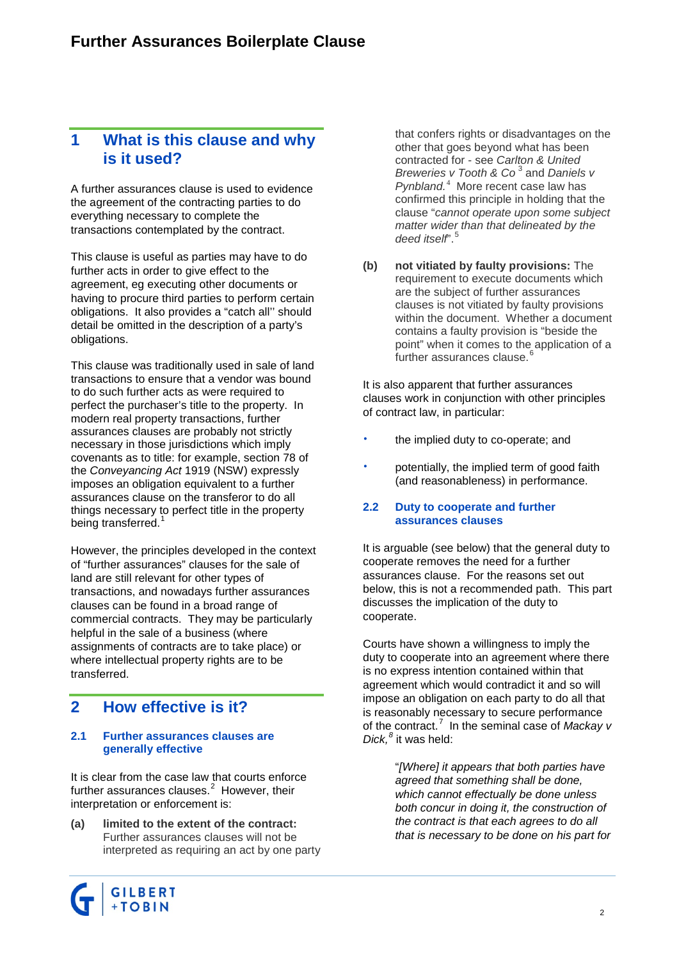## **1 What is this clause and why is it used?**

A further assurances clause is used to evidence the agreement of the contracting parties to do everything necessary to complete the transactions contemplated by the contract.

This clause is useful as parties may have to do further acts in order to give effect to the agreement, eg executing other documents or having to procure third parties to perform certain obligations. It also provides a "catch all'' should detail be omitted in the description of a party's obligations.

This clause was traditionally used in sale of land transactions to ensure that a vendor was bound to do such further acts as were required to perfect the purchaser's title to the property. In modern real property transactions, further assurances clauses are probably not strictly necessary in those jurisdictions which imply covenants as to title: for example, section 78 of the *Conveyancing Act* 1919 (NSW) expressly imposes an obligation equivalent to a further assurances clause on the transferor to do all things necessary to perfect title in the property being transferred.<sup>[1](#page-3-0)</sup>

However, the principles developed in the context of "further assurances" clauses for the sale of land are still relevant for other types of transactions, and nowadays further assurances clauses can be found in a broad range of commercial contracts. They may be particularly helpful in the sale of a business (where assignments of contracts are to take place) or where intellectual property rights are to be transferred.

## **2 How effective is it?**

#### **2.1 Further assurances clauses are generally effective**

It is clear from the case law that courts enforce further assurances clauses. $^2$  $^2$  However, their interpretation or enforcement is:

**(a) limited to the extent of the contract:**  Further assurances clauses will not be interpreted as requiring an act by one party



**(b) not vitiated by faulty provisions:** The requirement to execute documents which are the subject of further assurances clauses is not vitiated by faulty provisions within the document. Whether a document contains a faulty provision is "beside the point" when it comes to the application of a further assurances clause.<sup>[6](#page-4-3)</sup>

It is also apparent that further assurances clauses work in conjunction with other principles of contract law, in particular:

- the implied duty to co-operate; and
- potentially, the implied term of good faith (and reasonableness) in performance.

#### **2.2 Duty to cooperate and further assurances clauses**

It is arguable (see below) that the general duty to cooperate removes the need for a further assurances clause. For the reasons set out below, this is not a recommended path. This part discusses the implication of the duty to cooperate.

Courts have shown a willingness to imply the duty to cooperate into an agreement where there is no express intention contained within that agreement which would contradict it and so will impose an obligation on each party to do all that is reasonably necessary to secure performance of the contract.[7](#page-4-4) In the seminal case of *Mackay v Dick, [8](#page-4-5)* it was held:

> "*[Where] it appears that both parties have agreed that something shall be done, which cannot effectually be done unless both concur in doing it, the construction of the contract is that each agrees to do all that is necessary to be done on his part for*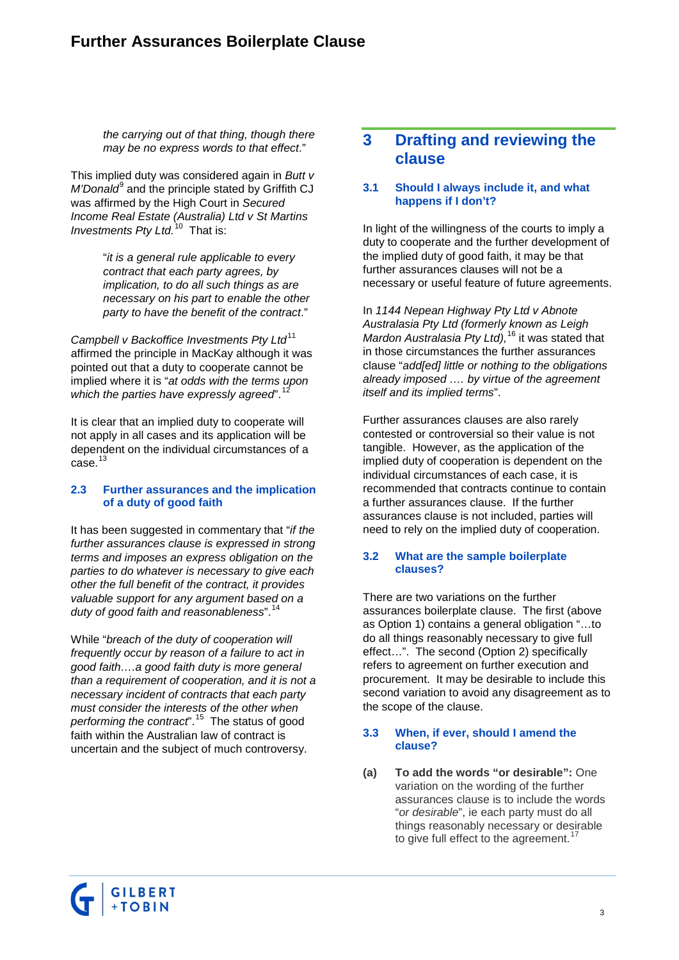*the carrying out of that thing, though there may be no express words to that effect*."

This implied duty was considered again in *Butt v M'Donald*<sup>[9](#page-4-6)</sup> and the principle stated by Griffith CJ was affirmed by the High Court in *[Secured](http://legalonline.thomson.com.au/do/resultDetailed.jsp?id=5157521)  [Income Real Estate \(Australia\) Ltd v St](http://legalonline.thomson.com.au/do/resultDetailed.jsp?id=5157521) Martins [Investments Pty Ltd.](http://legalonline.thomson.com.au/do/resultDetailed.jsp?id=5157521)* [10](#page-4-7) That is:

> "*it is a general rule applicable to every contract that each party agrees, by implication, to do all such things as are necessary on his part to enable the other party to have the benefit of the contract*."

*Campbell v Backoffice Investments Pty Ltd*<sup>[11](#page-4-8)</sup> affirmed the principle in MacKay although it was pointed out that a duty to cooperate cannot be implied where it is "*at odds with the terms upon which the parties have expressly agreed*". [12](#page-4-9)

It is clear that an implied duty to cooperate will not apply in all cases and its application will be dependent on the individual circumstances of a  $case.<sup>13</sup>$  $case.<sup>13</sup>$  $case.<sup>13</sup>$ 

#### **2.3 Further assurances and the implication of a duty of good faith**

It has been suggested in commentary that "*if the further assurances clause is expressed in strong terms and imposes an express obligation on the parties to do whatever is necessary to give each other the full benefit of the contract, it provides valuable support for any argument based on a duty of good faith and reasonableness*". [14](#page-4-11)

While "*breach of the duty of cooperation will frequently occur by reason of a failure to act in good faith….a good faith duty is more general than a requirement of cooperation, and it is not a necessary incident of contracts that each party must consider the interests of the other when performing the contract*". [15](#page-4-12) The status of good faith within the Australian law of contract is uncertain and the subject of much controversy.

### **3 Drafting and reviewing the clause**

#### **3.1 Should I always include it, and what happens if I don't?**

In light of the willingness of the courts to imply a duty to cooperate and the further development of the implied duty of good faith, it may be that further assurances clauses will not be a necessary or useful feature of future agreements.

In *1144 Nepean Highway Pty Ltd v Abnote Australasia Pty Ltd (formerly known as Leigh Mardon Australasia Pty Ltd),* [16](#page-4-13) it was stated that in those circumstances the further assurances clause "*add[ed] little or nothing to the obligations already imposed …. by virtue of the agreement itself and its implied terms*".

Further assurances clauses are also rarely contested or controversial so their value is not tangible. However, as the application of the implied duty of cooperation is dependent on the individual circumstances of each case, it is recommended that contracts continue to contain a further assurances clause. If the further assurances clause is not included, parties will need to rely on the implied duty of cooperation.

#### **3.2 What are the sample boilerplate clauses?**

There are two variations on the further assurances boilerplate clause. The first (above as Option 1) contains a general obligation "…to do all things reasonably necessary to give full effect…". The second (Option 2) specifically refers to agreement on further execution and procurement. It may be desirable to include this second variation to avoid any disagreement as to the scope of the clause.

#### **3.3 When, if ever, should I amend the clause?**

**(a) To add the words "or desirable":** One variation on the wording of the further assurances clause is to include the words "*or desirable*", ie each party must do all things reasonably necessary or desirable to give full effect to the agreement.<sup>1</sup>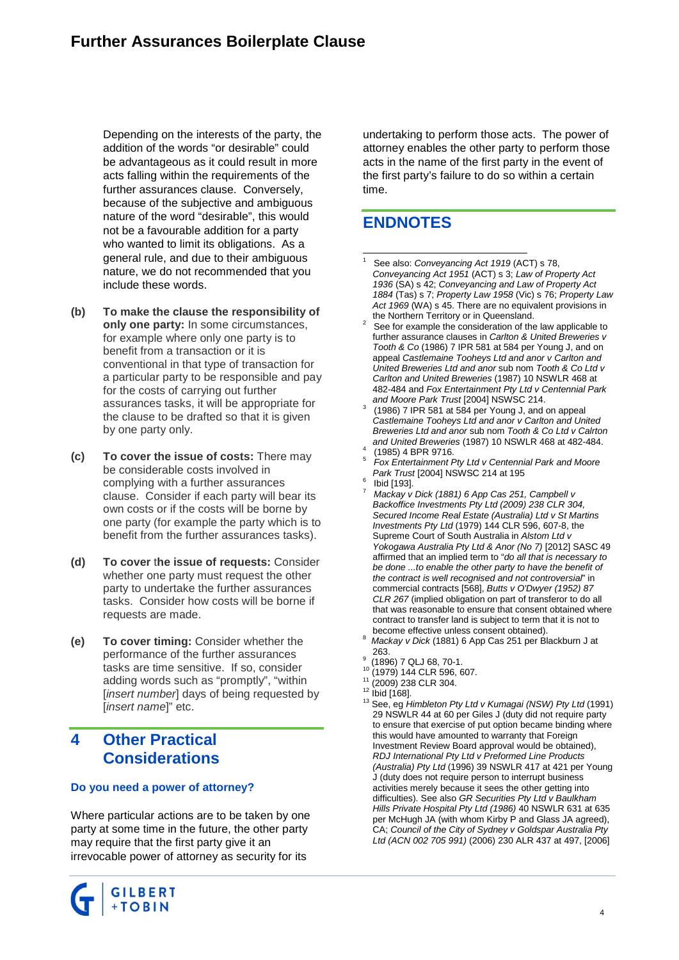Depending on the interests of the party, the addition of the words "or desirable" could be advantageous as it could result in more acts falling within the requirements of the further assurances clause. Conversely, because of the subjective and ambiguous nature of the word "desirable", this would not be a favourable addition for a party who wanted to limit its obligations. As a general rule, and due to their ambiguous nature, we do not recommended that you include these words.

- <span id="page-3-1"></span><span id="page-3-0"></span>**(b) To make the clause the responsibility of only one party:** In some circumstances, for example where only one party is to benefit from a transaction or it is conventional in that type of transaction for a particular party to be responsible and pay for the costs of carrying out further assurances tasks, it will be appropriate for the clause to be drafted so that it is given by one party only.
- **(c) To cover the issue of costs:** There may be considerable costs involved in complying with a further assurances clause. Consider if each party will bear its own costs or if the costs will be borne by one party (for example the party which is to benefit from the further assurances tasks).
- **(d) To cover** t**he issue of requests:** Consider whether one party must request the other party to undertake the further assurances tasks. Consider how costs will be borne if requests are made.
- **(e) To cover timing:** Consider whether the performance of the further assurances tasks are time sensitive. If so, consider adding words such as "promptly", "within [*insert number*] days of being requested by [*insert name*]" etc.

## **4 Other Practical Considerations**

#### **Do you need a power of attorney?**

Where particular actions are to be taken by one party at some time in the future, the other party may require that the first party give it an irrevocable power of attorney as security for its



undertaking to perform those acts. The power of attorney enables the other party to perform those acts in the name of the first party in the event of the first party's failure to do so within a certain time.

## **ENDNOTES**

- See also: *Conveyancing Act 1919* (ACT) s 78, *Conveyancing Act 1951* (ACT) s 3; *Law of Property Act 1936* (SA) s 42; *Conveyancing and Law of Property Act 1884* (Tas) s 7; *Property Law 1958* (Vic) s 76; *Property Law Act 1969* (WA) s 45. There are no equivalent provisions in
- See for example the consideration of the law applicable to further assurance clauses in *Carlton & United Breweries v Tooth & Co* (1986) 7 IPR 581 at 584 per Young J, and on appeal *Castlemaine Tooheys Ltd and anor v Carlton and United Breweries Ltd and anor* sub nom *Tooth & Co Ltd v Carlton and United Breweries* (1987) 10 NSWLR 468 at 482-484 and *Fox Entertainment Pty Ltd v Centennial Park*
- *(1986)* 7 IPR 581 at 584 per Young J, and on appeal *Castlemaine Tooheys Ltd and anor v Carlton and United Breweries Ltd and anor* sub nom *Tooth & Co Ltd v Calrton*
- 
- *and United Breweries* (1987) 10 NSWLR 468 at 482-484. <sup>4</sup> (1985) 4 BPR 9716. <sup>5</sup> *Fox Entertainment Pty Ltd v Centennial Park and Moore*
- 
- *Park Trust Indig 1931.*<br>*Park Trust is App Cas 251, Campbell v Mackay v Dick (1881) 6 App Cas 251, Campbell v Backoffice Investments Pty Ltd (2009) 238 CLR 304, [Secured Income Real Estate \(Australia\) Ltd v St](http://legalonline.thomson.com.au/do/resultDetailed.jsp?id=5157521) Martins [Investments Pty Ltd](http://legalonline.thomson.com.au/do/resultDetailed.jsp?id=5157521)* (1979) 144 CLR 596, 607-8, the Supreme Court of South Australia in *Alstom Ltd v Yokogawa Australia Pty Ltd & Anor (No 7)* [2012] SASC 49 affirmed that an implied term to "*do all that is necessary to be done ...to enable the other party to have the benefit of the contract is well recognised and not controversial*" in commercial contracts [568], *Butts v O'Dwyer (1952) 87 CLR 267* (implied obligation on part of transferor to do all that was reasonable to ensure that consent obtained where contract to transfer land is subject to term that it is not to become effective unless consent obtained).
- Mackay v Dick (1881) 6 App Cas 251 per Blackburn J at 263.
- 
- -
	-
- <sup>9</sup> (1896) 7 QLJ 68, 70-1.<br><sup>10</sup> (1979) 144 CLR 596, 607.<br><sup>11</sup> (2009) 238 CLR 304.<br><sup>12</sup> Ibid [168].<br><sup>13</sup> See, eg *Himbleton Pty Ltd v Kumagai (NSW) Pty Ltd* (1991) 29 NSWLR 44 at 60 per Giles J (duty did not require party to ensure that exercise of put option became binding where this would have amounted to warranty that Foreign Investment Review Board approval would be obtained), *RDJ International Pty Ltd v Preformed Line Products (Australia) Pty Ltd* (1996) 39 NSWLR 417 at 421 per Young J (duty does not require person to interrupt business activities merely because it sees the other getting into difficulties). See also *GR Securities Pty Ltd v Baulkham Hills Private Hospital Pty Ltd (1986)* 40 NSWLR 631 at 635 per McHugh JA (with whom Kirby P and Glass JA agreed), CA; *Council of the City of Sydney v Goldspar Australia Pty Ltd (ACN 002 705 991)* (2006) 230 ALR 437 at 497, [2006]